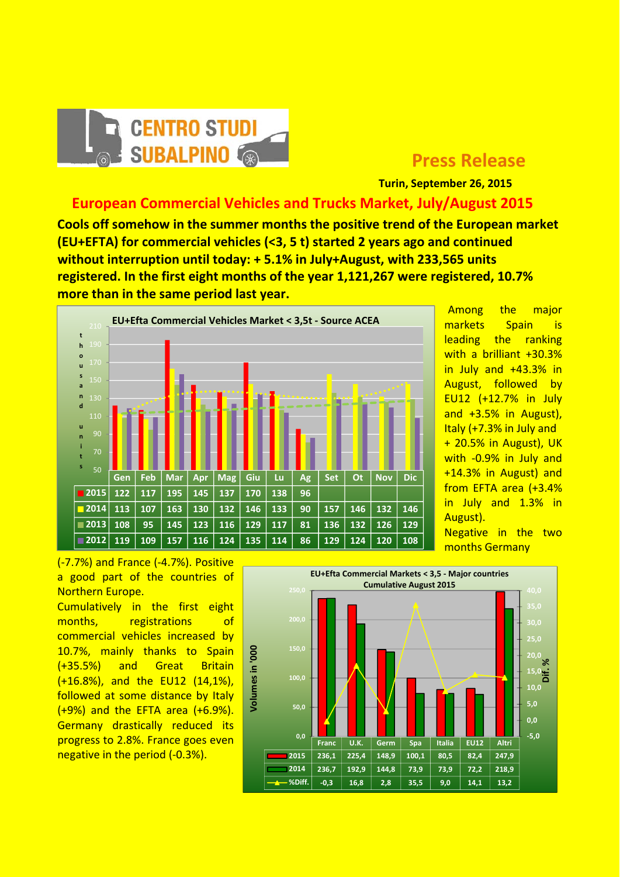

## **Press Release**

 **Turin, September 26, 2015**

## **European Commercial Vehicles and Trucks Market, July/August 2015**

**Cools off somehow in the summer months the positive trend of the European market (EU+EFTA) for commercial vehicles (<3, 5 t) started 2 years ago and continued without interruption until today: + 5.1% in July+August, with 233,565 units registered. In the first eight months of the year 1,121,267 were registered, 10.7% more than in the same period last year.**



Among the major markets Spain is leading the ranking with a brilliant +30.3% in July and +43.3% in August, followed by EU12 (+12.7% in July and +3.5% in August), Italy (+7.3% in July and + 20.5% in August), UK with ‐0.9% in July and +14.3% in August) and from EFTA area (+3.4% in July and 1.3% in August).

Negative in the two months Germany

(‐7.7%) and France (‐4.7%). Positive a good part of the countries of Northern Europe.

Cumulatively in the first eight months, registrations of commercial vehicles increased by 10.7%, mainly thanks to Spain (+35.5%) and Great Britain (+16.8%), and the EU12 (14,1%), followed at some distance by Italy (+9%) and the EFTA area (+6.9%). Germany drastically reduced its progress to 2.8%. France goes even negative in the period (‐0.3%).

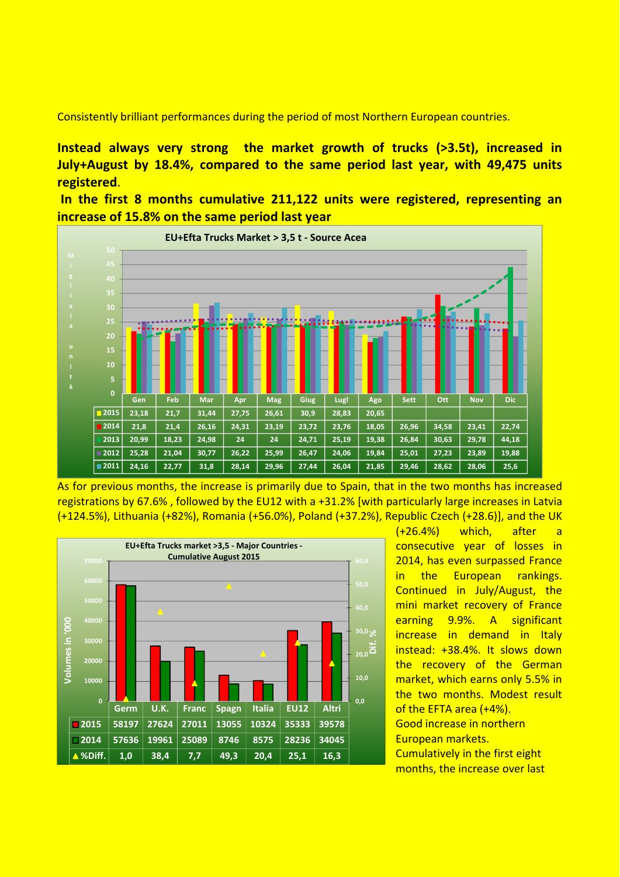Consistently brilliant performances during the period of most Northern European countries.

**Instead always very strong the market growth of trucks (>3.5t), increased in July+August by 18.4%, compared to the same period last year, with 49,475 units registered**.

**In the first 8 months cumulative 211,122 units were registered, representing an increase of 15.8% on the same period last year**



As for previous months, the increase is primarily due to Spain, that in the two months has increased registrations by 67.6% , followed by the EU12 with a +31.2% [with particularly large increases in Latvia (+124.5%), Lithuania (+82%), Romania (+56.0%), Poland (+37.2%), Republic Czech (+28.6)], and the UK



(+26.4%) which, after a consecutive year of losses in 2014, has even surpassed France in the European rankings. Continued in July/August, the mini market recovery of France earning 9.9%. A significant increase in demand in Italy instead: +38.4%. It slows down the recovery of the German market, which earns only 5.5% in the two months. Modest result of the EFTA area (+4%). Good increase in northern European markets. Cumulatively in the first eight months, the increase over last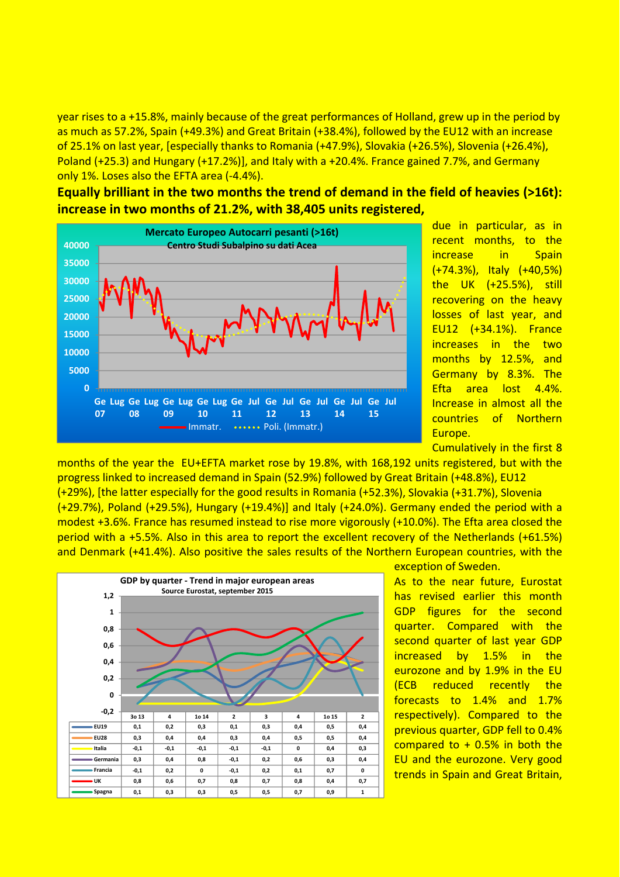year rises to a +15.8%, mainly because of the great performances of Holland, grew up in the period by as much as 57.2%, Spain (+49.3%) and Great Britain (+38.4%), followed by the EU12 with an increase of 25.1% on last year, [especially thanks to Romania (+47.9%), Slovakia (+26.5%), Slovenia (+26.4%), Poland (+25.3) and Hungary (+17.2%)], and Italy with a +20.4%. France gained 7.7%, and Germany only 1%. Loses also the EFTA area (‐4.4%).

**Equally brilliant in the two months the trend of demand in the field of heavies (>16t): increase in two months of 21.2%, with 38,405 units registered,**



due in particular, as in recent months, to the increase in Spain (+74.3%), Italy (+40,5%) the UK (+25.5%), still recovering on the heavy losses of last year, and EU12 (+34.1%). France increases in the two months by 12.5%, and Germany by 8.3%. The Efta area lost 4.4%. Increase in almost all the countries of Northern Europe.

Cumulatively in the first 8

months of the year the EU+EFTA market rose by 19.8%, with 168,192 units registered, but with the progress linked to increased demand in Spain (52.9%) followed by Great Britain (+48.8%), EU12

(+29%), [the latter especially for the good results in Romania (+52.3%), Slovakia (+31.7%), Slovenia (+29.7%), Poland (+29.5%), Hungary (+19.4%)] and Italy (+24.0%). Germany ended the period with a modest +3.6%. France has resumed instead to rise more vigorously (+10.0%). The Efta area closed the period with a +5.5%. Also in this area to report the excellent recovery of the Netherlands (+61.5%) and Denmark (+41.4%). Also positive the sales results of the Northern European countries, with the



exception of Sweden.

As to the near future, Eurostat has revised earlier this month GDP figures for the second quarter. Compared with the second quarter of last year GDP increased by 1.5% in the eurozone and by 1.9% in the EU (ECB reduced recently the forecasts to 1.4% and 1.7% respectively). Compared to the previous quarter, GDP fell to 0.4% compared to  $+$  0.5% in both the EU and the eurozone. Very good trends in Spain and Great Britain,